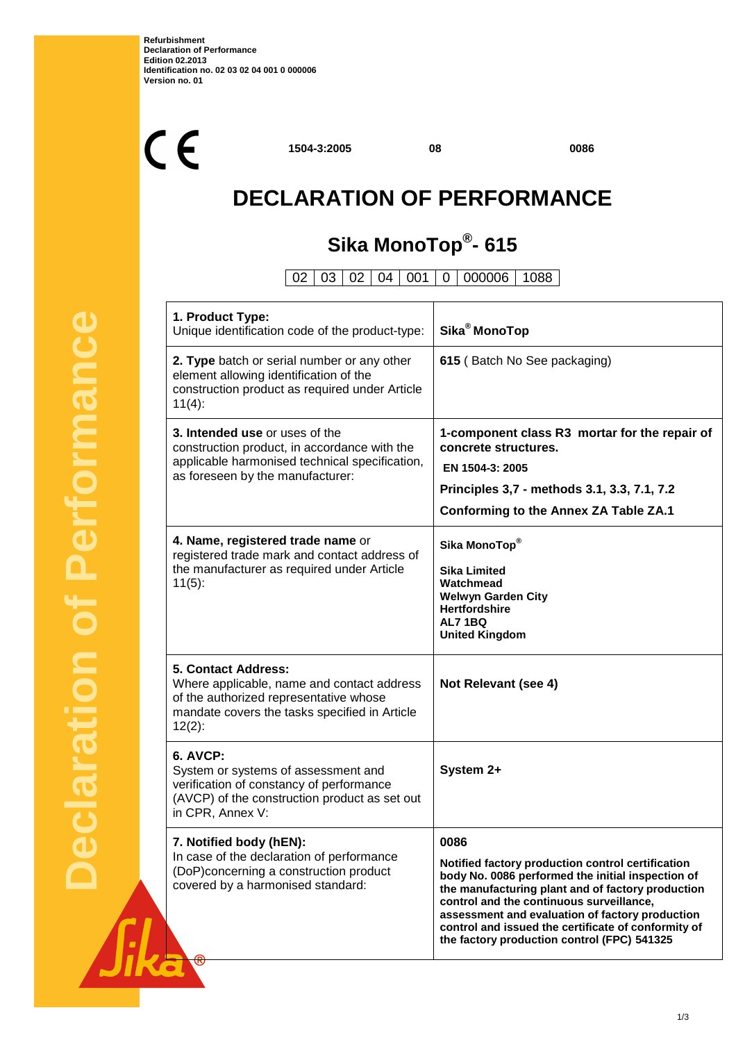$C<sub>f</sub>$ 

**1504-3:2005 08 0086**

# **DECLARATION OF PERFORMANCE**

## **Sika MonoTop® - 615**

02 03 02 04 001 0 000006 1088

| 1. Product Type:<br>Unique identification code of the product-type:                                                                                                              | Sika <sup>®</sup> MonoTop                                                                                                                                                                                                                                                                                                                                                |  |
|----------------------------------------------------------------------------------------------------------------------------------------------------------------------------------|--------------------------------------------------------------------------------------------------------------------------------------------------------------------------------------------------------------------------------------------------------------------------------------------------------------------------------------------------------------------------|--|
| 2. Type batch or serial number or any other<br>element allowing identification of the<br>construction product as required under Article<br>$11(4)$ :                             | 615 (Batch No See packaging)                                                                                                                                                                                                                                                                                                                                             |  |
| 3. Intended use or uses of the<br>construction product, in accordance with the<br>applicable harmonised technical specification,<br>as foreseen by the manufacturer:             | 1-component class R3 mortar for the repair of<br>concrete structures.<br>EN 1504-3: 2005<br>Principles 3,7 - methods 3.1, 3.3, 7.1, 7.2<br><b>Conforming to the Annex ZA Table ZA.1</b>                                                                                                                                                                                  |  |
| 4. Name, registered trade name or<br>registered trade mark and contact address of<br>the manufacturer as required under Article<br>$11(5)$ :                                     | Sika MonoTop®<br><b>Sika Limited</b><br>Watchmead<br><b>Welwyn Garden City</b><br><b>Hertfordshire</b><br>AL71BQ<br><b>United Kingdom</b>                                                                                                                                                                                                                                |  |
| <b>5. Contact Address:</b><br>Where applicable, name and contact address<br>of the authorized representative whose<br>mandate covers the tasks specified in Article<br>$12(2)$ : | Not Relevant (see 4)                                                                                                                                                                                                                                                                                                                                                     |  |
| <b>6. AVCP:</b><br>System or systems of assessment and<br>verification of constancy of performance<br>(AVCP) of the construction product as set out<br>in CPR, Annex V:          | System 2+                                                                                                                                                                                                                                                                                                                                                                |  |
| 7. Notified body (hEN):<br>In case of the declaration of performance<br>(DoP)concerning a construction product<br>covered by a harmonised standard:                              | 0086<br>Notified factory production control certification<br>body No. 0086 performed the initial inspection of<br>the manufacturing plant and of factory production<br>control and the continuous surveillance,<br>assessment and evaluation of factory production<br>control and issued the certificate of conformity of<br>the factory production control (FPC) 541325 |  |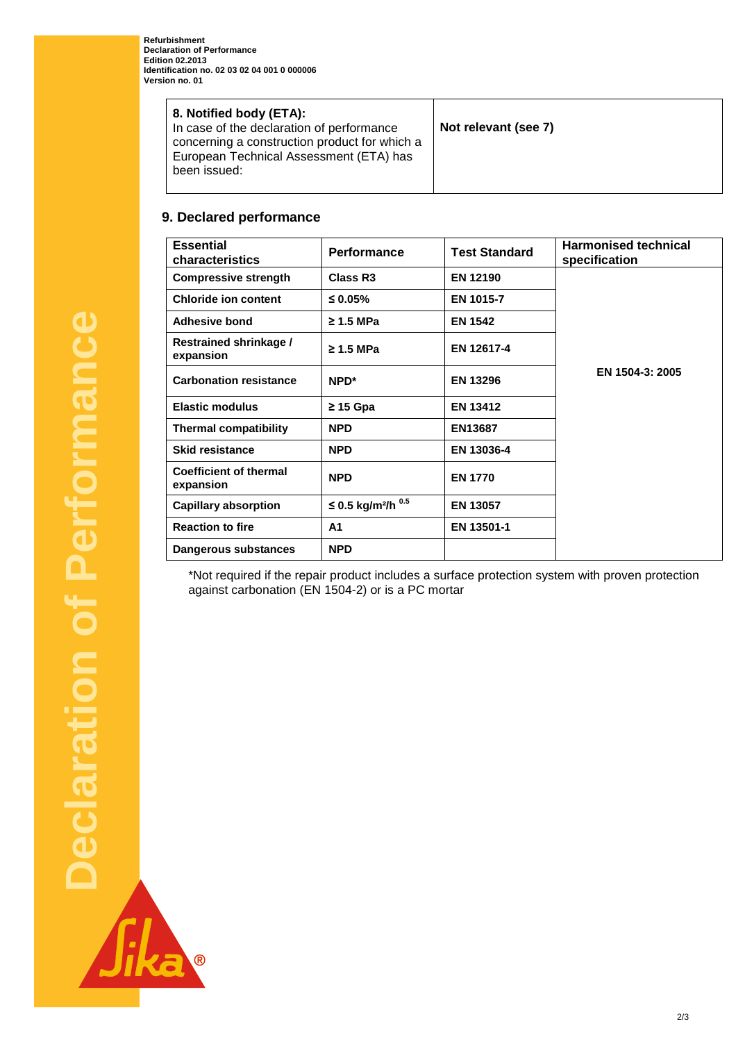| 8. Notified body (ETA):<br>In case of the declaration of performance<br>concerning a construction product for which a<br>European Technical Assessment (ETA) has<br>been issued: | Not relevant (see 7) |
|----------------------------------------------------------------------------------------------------------------------------------------------------------------------------------|----------------------|
|----------------------------------------------------------------------------------------------------------------------------------------------------------------------------------|----------------------|

### **9. Declared performance**

| <b>Essential</b><br>characteristics        | <b>Performance</b>                  | <b>Test Standard</b> | <b>Harmonised technical</b><br>specification |
|--------------------------------------------|-------------------------------------|----------------------|----------------------------------------------|
| <b>Compressive strength</b>                | Class R <sub>3</sub>                | <b>EN 12190</b>      |                                              |
| <b>Chloride ion content</b>                | ≤ 0.05%                             | EN 1015-7            |                                              |
| Adhesive bond                              | $\geq$ 1.5 MPa                      | <b>EN 1542</b>       |                                              |
| Restrained shrinkage /<br>expansion        | $\geq$ 1.5 MPa                      | EN 12617-4           |                                              |
| <b>Carbonation resistance</b>              | NPD <sup>*</sup>                    | <b>EN 13296</b>      | EN 1504-3: 2005                              |
| <b>Elastic modulus</b>                     | $\geq$ 15 Gpa                       | <b>EN 13412</b>      |                                              |
| <b>Thermal compatibility</b>               | <b>NPD</b>                          | <b>EN13687</b>       |                                              |
| <b>Skid resistance</b>                     | <b>NPD</b>                          | EN 13036-4           |                                              |
| <b>Coefficient of thermal</b><br>expansion | <b>NPD</b>                          | <b>EN 1770</b>       |                                              |
| <b>Capillary absorption</b>                | ≤ 0.5 kg/m <sup>2</sup> /h $^{0.5}$ | <b>EN 13057</b>      |                                              |
| <b>Reaction to fire</b>                    | A <sub>1</sub>                      | EN 13501-1           |                                              |
| Dangerous substances                       | <b>NPD</b>                          |                      |                                              |

\*Not required if the repair product includes a surface protection system with proven protection against carbonation (EN 1504-2) or is a PC mortar

O